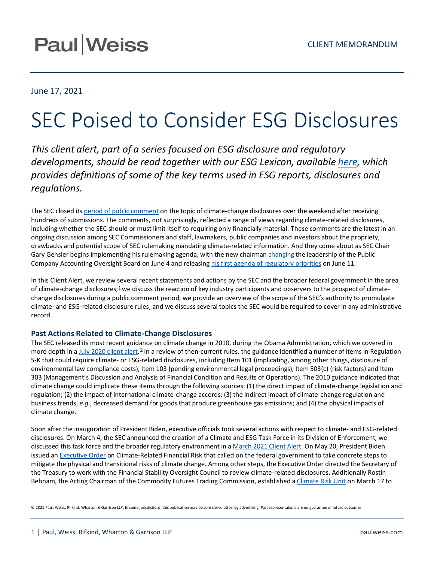## **Paul Weiss**

## June 17, 2021

# SEC Poised to Consider ESG Disclosures

*This client alert, part of a series focused on ESG disclosure and regulatory developments, should be read together with our ESG Lexicon, available [here,](https://www.paulweiss.com/practices/sustainability-esg/practice-overview/esg-lexicon) which provides definitions of some of the key terms used in ESG reports, disclosures and regulations.*

The SEC closed it[s period of public comment](https://www.sec.gov/news/public-statement/lee-climate-change-disclosures) on the topic of climate-change disclosures over the weekend after receiving hundreds of submissions. The comments, not surprisingly, reflected a range of views regarding climate-related disclosures, including whether the SEC should or must limit itself to requiring only financially material. These comments are the latest in an ongoing discussion among SEC Commissioners and staff, lawmakers, public companies and investors about the propriety, drawbacks and potential scope of SEC rulemaking mandating climate-related information. And they come about as SEC Chair Gary Gensler begins implementing his rulemaking agenda, with the new chairma[n changing](https://www.wsj.com/articles/sec-removes-chairman-of-audit-watchdog-11622838205) the leadership of the Public Company Accounting Oversight Board on June 4 and releasing his first agenda of [regulatory priorities](https://www.sec.gov/news/press-release/2021-99) on June 11.

In this Client Alert, we review several recent statements and actions by the SEC and the broader federal government in the area of climate-change disclosures;<sup>[1](#page-4-0)</sup> we discuss the reaction of key industry participants and observers to the prospect of climatechange disclosures during a public comment period; we provide an overview of the scope of the SEC's authority to promulgate climate- and ESG-related disclosure rules; and we discuss several topics the SEC would be required to cover in any administrative record.

### **Past Actions Related to Climate-Change Disclosures**

The SEC released its most recent guidance on climate change in 2010, during the Obama Administration, which we covered in more depth in [a July 2020 client alert.](https://www.paulweiss.com/insights/esg-thought-leadership/publications/the-us-regulatory-framework-for-esg-disclosures?id=37633)<sup>[2](#page-4-1)</sup> In a review of then-current rules, the guidance identified a number of items in Regulation S-K that could require climate- or ESG-related disclosures, including Item 101 (implicating, among other things, disclosure of environmental law compliance costs), Item 103 (pending environmental legal proceedings), Item 503(c) (risk factors) and Item 303 (Management's Discussion and Analysis of Financial Condition and Results of Operations). The 2010 guidance indicated that climate change could implicate these items through the following sources: (1) the direct impact of climate-change legislation and regulation; (2) the impact of international climate-change accords; (3) the indirect impact of climate-change regulation and business trends, *e.g.*, decreased demand for goods that produce greenhouse gas emissions; and (4) the physical impacts of climate change.

Soon after the inauguration of President Biden, executive officials took several actions with respect to climate- and ESG-related disclosures. On March 4, the SEC announced the creation of a Climate and ESG Task Force in its Division of Enforcement; we discussed this task force and the broader regulatory environment in [a March 2021 Client Alert.](https://www.paulweiss.com/practices/transactional/capital-markets/publications/sec-turns-up-the-heat-on-climate-and-esg-disclosures?id=39507) On May 20, President Biden issued an [Executive Order](https://www.paulweiss.com/insights/esg-thought-leadership/publications/president-biden-calls-on-federal-government-to-mitigate-climate-related-financial-risk?id=40177) on Climate-Related Financial Risk that called on the federal government to take concrete steps to mitigate the physical and transitional risks of climate change. Among other steps, the Executive Order directed the Secretary of the Treasury to work with the Financial Stability Oversight Council to review climate-related disclosures. Additionally Rostin Behnam, the Acting Chairman of the Commodity Futures Trading Commission, established [a Climate Risk Unit](https://www.cftc.gov/PressRoom/PressReleases/8368-21) on March 17 to

© 2021 Paul, Weiss, Rifkind, Wharton & Garrison LLP. In some jurisdictions, this publication may be considered attorney advertising. Past representations are no guarantee of future outcomes.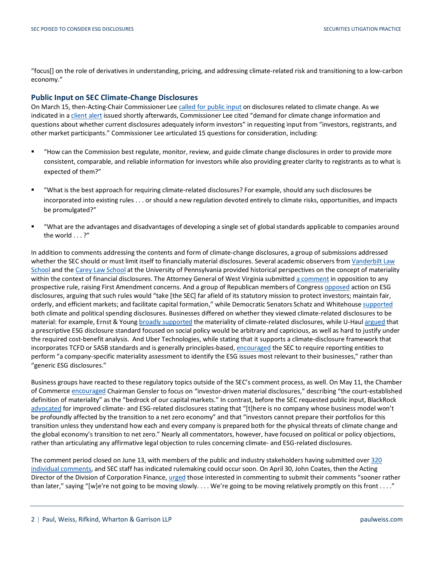"focus[] on the role of derivatives in understanding, pricing, and addressing climate-related risk and transitioning to a low-carbon economy."

### **Public Input on SEC Climate-Change Disclosures**

On March 15, then-Acting-Chair Commissioner Le[e called for public input](https://www.sec.gov/news/public-statement/lee-climate-change-disclosures) on disclosures related to climate change. As we indicated in [a client alert](https://www.paulweiss.com/practices/transactional/capital-markets/publications/acting-sec-chair-lee-discusses-additional-climate-and-esg-initiatives?id=39582) issued shortly afterwards, Commissioner Lee cited "demand for climate change information and questions about whether current disclosures adequately inform investors" in requesting input from "investors, registrants, and other market participants." Commissioner Lee articulated 15 questions for consideration, including:

- "How can the Commission best regulate, monitor, review, and guide climate change disclosures in order to provide more consistent, comparable, and reliable information for investors while also providing greater clarity to registrants as to what is expected of them?"
- "What is the best approach for requiring climate-related disclosures? For example, should any such disclosures be incorporated into existing rules . . . or should a new regulation devoted entirely to climate risks, opportunities, and impacts be promulgated?"
- "What are the advantages and disadvantages of developing a single set of global standards applicable to companies around the world . . . ?"

In addition to comments addressing the contents and form of climate-change disclosures, a group of submissions addressed whether the SEC should or must limit itself to financially material disclosures. Several academic observers fro[m Vanderbilt Law](https://www.sec.gov/comments/climate-disclosure/cll12-8785693-237729.pdf)  [School](https://www.sec.gov/comments/climate-disclosure/cll12-8785693-237729.pdf) and th[e Carey Law School](https://www.sec.gov/comments/climate-disclosure/cll12-8911728-244385.pdf) at the University of Pennsylvania provided historical perspectives on the concept of materiality within the context of financial disclosures. The Attorney General of West Virginia submitte[d a comment](https://www.sec.gov/comments/climate-disclosure/cll12-8563794-230748.pdf) in opposition to any prospective rule, raising First Amendment concerns. And a group of Republican members of Congres[s opposed](https://www.sec.gov/comments/climate-disclosure/cll12-8873201-240110.pdf) action on ESG disclosures, arguing that such rules would "take [the SEC] far afield of its statutory mission to protect investors; maintain fair, orderly, and efficient markets; and facilitate capital formation," while Democratic Senators Schatz and Whitehous[e supported](https://www.sec.gov/comments/climate-disclosure/cll12-8903199-243624.pdf) both climate and political spending disclosures. Businesses differed on whether they viewed climate-related disclosures to be material: for example, Ernst & Youn[g broadly supported](https://www.sec.gov/comments/climate-disclosure/cll12-8906915-244218.pdf) the materiality of climate-related disclosures, while U-Haul [argued](https://www.sec.gov/comments/climate-disclosure/cll12-8901051-242192.pdf) that a prescriptive ESG disclosure standard focused on social policy would be arbitrary and capricious, as well as hard to justify under the required cost-benefit analysis. And Uber Technologies, while stating that it supports a climate-disclosure framework that incorporates TCFD or SASB standards and is generally principles-based[, encouraged](https://www.sec.gov/comments/climate-disclosure/cll12-8731000-237041b.pdf) the SEC to require reporting entities to perform "a company-specific materiality assessment to identify the ESG issues most relevant to their businesses," rather than "generic ESG disclosures."

Business groups have reacted to these regulatory topics outside of the SEC's comment process, as well. On May 11, the Chamber of Commerce [encouraged](http://www.centerforcapitalmarkets.com/wp-content/uploads/2021/05/210505_Comments_Congratulations_Gensler.pdf?) Chairman Gensler to focus on "investor-driven material disclosures," describing "the court-established definition of materiality" as the "bedrock of our capital markets." In contrast, before the SEC requested public input, BlackRock [advocated](https://www.blackrock.com/us/individual/2021-larry-fink-ceo-letter?gclid=EAIaIQobChMIw7mt34f18AIVio7ICh1HfAB3EAAYASAAEgJjffD_BwE&gclsrc=aw.ds) for improved climate- and ESG-related disclosures stating that "[t]here is no company whose business model won't be profoundly affected by the transition to a net zero economy" and that "investors cannot prepare their portfolios for this transition unless they understand how each and every company is prepared both for the physical threats of climate change and the global economy's transition to net zero." Nearly all commentators, however, have focused on political or policy objections, rather than articulating any affirmative legal objection to rules concerning climate- and ESG-related disclosures.

The comment period closed on June 13, with members of the public and industry stakeholders having submitted over 320 [individual comments,](https://www.sec.gov/comments/climate-disclosure/cll12.htm) and SEC staff has indicated rulemaking could occur soon. On April 30, John Coates, then the Acting Director of the Division of Corporation Finance[, urged](https://www.natlawreview.com/article/we-are-not-going-to-be-moving-slowly-sec-director-esg-disclosure-requirements) those interested in commenting to submit their comments "sooner rather than later," saying "[w]e're not going to be moving slowly. . . . We're going to be moving relatively promptly on this front . . . ."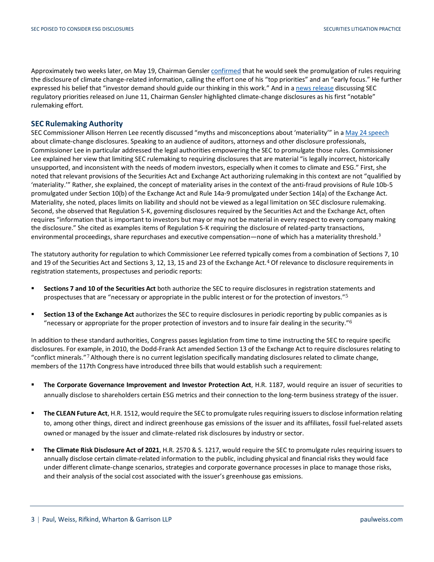Approximately two weeks later, on May 19, Chairman Gensler [confirmed](https://tax.thomsonreuters.com/news/its-official-sec-to-undertake-disclosure-rulemaking-on-climate-change-and-workforce-management/) that he would seek the promulgation of rules requiring the disclosure of climate change-related information, calling the effort one of his "top priorities" and an "early focus." He further expressed his belief that "investor demand should guide our thinking in this work." And in a [news release](https://www.sec.gov/news/press-release/2021-99) discussing SEC regulatory priorities released on June 11, Chairman Gensler highlighted climate-change disclosures as his first "notable" rulemaking effort.

#### **SEC Rulemaking Authority**

SEC Commissioner Allison Herren Lee recently discussed "myths and misconceptions about 'materiality'" in [a May 24 speech](https://www.sec.gov/news/speech/lee-living-material-world-052421) about climate-change disclosures. Speaking to an audience of auditors, attorneys and other disclosure professionals, Commissioner Lee in particular addressed the legal authorities empowering the SEC to promulgate those rules. Commissioner Lee explained her view that limiting SEC rulemaking to requiring disclosures that are material "is legally incorrect, historically unsupported, and inconsistent with the needs of modern investors, especially when it comes to climate and ESG." First, she noted that relevant provisions of the Securities Act and Exchange Act authorizing rulemaking in this context are not "qualified by 'materiality.'" Rather, she explained, the concept of materiality arises in the context of the anti-fraud provisions of Rule 10b-5 promulgated under Section 10(b) of the Exchange Act and Rule 14a-9 promulgated under Section 14(a) of the Exchange Act. Materiality, she noted, places limits on liability and should not be viewed as a legal limitation on SEC disclosure rulemaking. Second, she observed that Regulation S-K, governing disclosures required by the Securities Act and the Exchange Act, often requires "information that is important to investors but may or may not be material in every respect to every company making the disclosure." She cited as examples items of Regulation S-K requiring the disclosure of related-party transactions, environmental proceedings, share repurchases and executive compensation—none of which has a materiality threshold.<sup>[3](#page-4-2)</sup>

<span id="page-2-0"></span>The statutory authority for regulation to which Commissioner Lee referred typically comes from a combination of Sections 7, 10 and 19 of the Securities Act and Sections 3, 12, 13, 15 and 23 of the Exchange Act.[4](#page-4-3) Of relevance to disclosure requirements in registration statements, prospectuses and periodic reports:

- **Sections 7 and 10 of the Securities Act** both authorize the SEC to require disclosures in registration statements and prospectuses that are "necessary or appropriate in the public interest or for the protection of investors."[5](#page-4-4)
- **Section 13 of the Exchange Act** authorizes the SEC to require disclosures in periodic reporting by public companies as is "necessary or appropriate for the proper protection of investors and to insure fair dealing in the security."[6](#page-4-5)

In addition to these standard authorities, Congress passes legislation from time to time instructing the SEC to require specific disclosures. For example, in 2010, the Dodd-Frank Act amended Section 13 of the Exchange Act to require disclosures relating to "conflict minerals."[7](#page-4-6) Although there is no current legislation specifically mandating disclosures related to climate change, members of the 117th Congress have introduced three bills that would establish such a requirement:

- **The Corporate Governance Improvement and Investor Protection Act**, H.R. 1187, would require an issuer of securities to annually disclose to shareholders certain ESG metrics and their connection to the long-term business strategy of the issuer.
- **Th[e CLEAN Future Act](https://energycommerce.house.gov/sites/democrats.energycommerce.house.gov/files/documents/CFA%20Bill%20Text%202021.pdf)**, H.R. 1512, would require the SEC to promulgate rules requiring issuers to disclose information relating to, among other things, direct and indirect greenhouse gas emissions of the issuer and its affiliates, fossil fuel-related assets owned or managed by the issuer and climate-related risk disclosures by industry or sector.
- **The Climate Risk Disclosure Act of 2021**, H.R. 2570 & S. 1217, would require the SEC to promulgate rules requiring issuers to annually disclose certain climate-related information to the public, including physical and financial risks they would face under different climate-change scenarios, strategies and corporate governance processes in place to manage those risks, and their analysis of the social cost associated with the issuer's greenhouse gas emissions.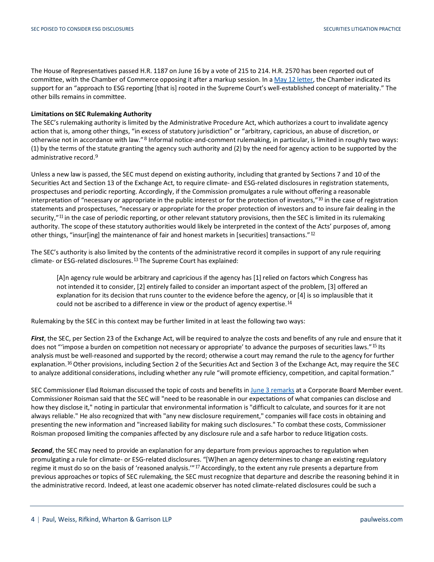The House of Representatives passed H.R. 1187 on June 16 by a vote of 215 to 214. H.R. 2570 has been reported out of committee, with the Chamber of Commerce opposing it after a markup session. In a [May 12 letter,](https://www.uschamber.com/sites/default/files/210512_markup_hfsc.pdf) the Chamber indicated its support for an "approach to ESG reporting [that is] rooted in the Supreme Court's well-established concept of materiality." The other bills remains in committee.

#### **Limitations on SEC Rulemaking Authority**

The SEC's rulemaking authority is limited by the Administrative Procedure Act, which authorizes a court to invalidate agency action that is, among other things, "in excess of statutory jurisdiction" or "arbitrary, capricious, an abuse of discretion, or otherwise not in accordance with law."[8](#page-4-7) Informal notice-and-comment rulemaking, in particular, is limited in roughly two ways: (1) by the terms of the statute granting the agency such authority and (2) by the need for agency action to be supported by the administrative record.[9](#page-4-8)

Unless a new law is passed, the SEC must depend on existing authority, including that granted by Sections 7 and 10 of the Securities Act and Section 13 of the Exchange Act, to require climate- and ESG-related disclosures in registration statements, prospectuses and periodic reporting. Accordingly, if the Commission promulgates a rule without offering a reasonable interpretation of "necessary or appropriate in the public interest or for the protection of investors,"[10](#page-5-0) in the case of registration statements and prospectuses, "necessary or appropriate for the proper protection of investors and to insure fair dealing in the security,"<sup>[11](#page-5-1)</sup> in the case of periodic reporting, or other relevant statutory provisions, then the SEC is limited in its rulemaking authority. The scope of these statutory authorities would likely be interpreted in the context of the Acts' purposes of, among other things, "insur[ing] the maintenance of fair and honest markets in [securities] transactions."[12](#page-5-2)

The SEC's authority is also limited by the contents of the administrative record it compiles in support of any rule requiring climate- or ESG-related disclosures.[13](#page-5-3) The Supreme Court has explained:

[A]n agency rule would be arbitrary and capricious if the agency has [1] relied on factors which Congress has not intended it to consider, [2] entirely failed to consider an important aspect of the problem, [3] offered an explanation for its decision that runs counter to the evidence before the agency, or [4] is so implausible that it could not be ascribed to a difference in view or the product of agency expertise.[14](#page-5-4)

Rulemaking by the SEC in this context may be further limited in at least the following two ways:

*First*, the SEC, per Section 23 of the Exchange Act, will be required to analyze the costs and benefits of any rule and ensure that it does not "'impose a burden on competition not necessary or appropriate' to advance the purposes of securities laws."[15](#page-5-5) Its analysis must be well-reasoned and supported by the record; otherwise a court may remand the rule to the agency for further explanation.<sup>[16](#page-5-6)</sup> Other provisions, including Section 2 of the Securities Act and Section 3 of the Exchange Act, may require the SEC to analyze additional considerations, including whether any rule "will promote efficiency, competition, and capital formation."

SEC Commissioner Elad Roisman discussed the topic of costs and benefits in [June 3 remarks](https://www.sec.gov/news/speech/roisman-esg-2021-06-03) at a Corporate Board Member event. Commissioner Roisman said that the SEC will "need to be reasonable in our expectations of what companies can disclose and how they disclose it," noting in particular that environmental information is "difficult to calculate, and sources for it are not always reliable." He also recognized that with "any new disclosure requirement," companies will face costs in obtaining and presenting the new information and "increased liability for making such disclosures." To combat these costs, Commissioner Roisman proposed limiting the companies affected by any disclosure rule and a safe harbor to reduce litigation costs.

*Second*, the SEC may need to provide an explanation for any departure from previous approaches to regulation when promulgating a rule for climate- or ESG-related disclosures. "[W]hen an agency determines to change an existing regulatory regime it must do so on the basis of 'reasoned analysis.'"[17](#page-5-7) Accordingly, to the extent any rule presents a departure from previous approaches or topics of SEC rulemaking, the SEC must recognize that departure and describe the reasoning behind it in the administrative record. Indeed, at least one academic observer has noted climate-related disclosures could be such a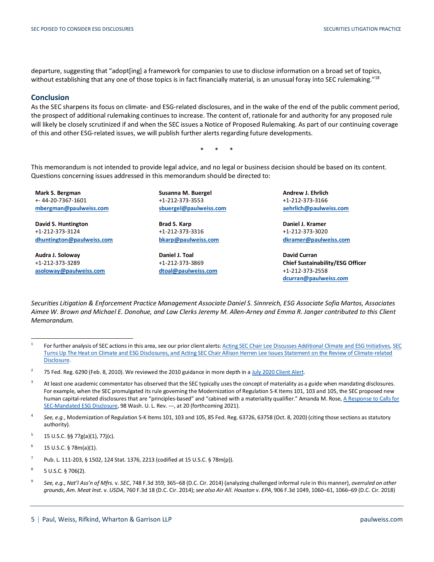departure, suggesting that "adopt[ing] a framework for companies to use to disclose information on a broad set of topics, without establishing that any one of those topics is in fact financially material, is an unusual foray into SEC rulemaking."<sup>18</sup>

#### **Conclusion**

As the SEC sharpens its focus on climate- and ESG-related disclosures, and in the wake of the end of the public comment period, the prospect of additional rulemaking continues to increase. The content of, rationale for and authority for any proposed rule will likely be closely scrutinized if and when the SEC issues a Notice of Proposed Rulemaking. As part of our continuing coverage of this and other ESG-related issues, we will publish further alerts regarding future developments.

\* \* \*

This memorandum is not intended to provide legal advice, and no legal or business decision should be based on its content. Questions concerning issues addressed in this memorandum should be directed to:

**Mark S. Bergman** +- 44-20-7367-1601 **[mbergman@paulweiss.com](mailto:mbergman@paulweiss.com)**

**David S. Huntington** +1-212-373-3124 **[dhuntington@paulweiss.com](mailto:dhuntington@paulweiss.com)**

**Audra J. Soloway** +1-212-373-3289 **[asoloway@paulweiss.com](mailto:asoloway@paulweiss.com)** **Susanna M. Buergel** +1-212-373-3553 **[sbuergel@paulweiss.com](mailto:sbuergel@paulweiss.com)**

**Brad S. Karp** +1-212-373-3316 **[bkarp@paulweiss.com](mailto:bkarp@paulweiss.com)**

**Daniel J. Toal** +1-212-373-3869 **[dtoal@paulweiss.com](mailto:dtoal@paulweiss.com)**  **Andrew J. Ehrlich** +1-212-373-3166 **[aehrlich@paulweiss.com](mailto:aehrlich@paulweiss.com)**

**Daniel J. Kramer** +1-212-373-3020 **[dkramer@paulweiss.com](mailto:dkramer@paulweiss.com)**

**David Curran Chief Sustainability/ESG Officer** +1-212-373-2558 **[dcurran@paulweiss.com](mailto:dcurran@paulweiss.com)**

*Securities Litigation & Enforcement Practice Management Associate Daniel S. Sinnreich, ESG Associate Sofia Martos, Associates Aimee W. Brown and Michael E. Donohue, and Law Clerks Jeremy M. Allen-Arney and Emma R. Janger contributed to this Client Memorandum.*

<span id="page-4-4"></span> $5$  15 U.S.C. §§ 77g(a)(1), 77j(c).

<span id="page-4-5"></span> $6 - 15$  U.S.C. § 78m(a)(1).

- <span id="page-4-6"></span><sup>7</sup> Pub. L. 111-203, § 1502, 124 Stat. 1376, 2213 (codified at 15 U.S.C. § 78m(p)).
- <span id="page-4-7"></span> $8$  5 U.S.C. § 706(2).

 $\overline{a}$ 

<span id="page-4-8"></span><sup>9</sup> *See, e.g.*, *Nat'l Ass'n of Mfrs.* v. *SEC*, 748 F.3d 359, 365–68 (D.C. Cir. 2014) (analyzing challenged informal rule in this manner), *overruled on other grounds*, *Am. Meat Inst*. v. *USDA*, 760 F.3d 18 (D.C. Cir. 2014); *see also Air All. Houston* v. *EPA*, 906 F.3d 1049, 1060–61, 1066–69 (D.C. Cir. 2018)

<span id="page-4-0"></span><sup>&</sup>lt;sup>1</sup> For further analysis of SEC actions in this area, see our prior client alerts[: Acting SEC Chair Lee Discusses Additional Climate and ESG Initiatives,](https://www.paulweiss.com/practices/transactional/capital-markets/publications/acting-sec-chair-lee-discusses-additional-climate-and-esg-initiatives?id=39582) SEC [Turns Up The Heat on Climate and ESG Disclosures,](https://www.paulweiss.com/practices/transactional/capital-markets/publications/sec-turns-up-the-heat-on-climate-and-esg-disclosures?id=39507) an[d Acting SEC Chair Allison Herren Lee Issues Statement on the Review of Climate-related](https://www.paulweiss.com/practices/transactional/capital-markets/publications/acting-sec-chair-allison-herren-lee-issues-statement-on-the-review-of-climate-related-disclosure?id=39448)  [Disclosure.](https://www.paulweiss.com/practices/transactional/capital-markets/publications/acting-sec-chair-allison-herren-lee-issues-statement-on-the-review-of-climate-related-disclosure?id=39448)

<span id="page-4-1"></span><sup>&</sup>lt;sup>2</sup> 75 Fed. Reg. 6290 (Feb. 8, 2010). We reviewed the 2010 guidance in more depth in [a July 2020 Client Alert.](https://www.paulweiss.com/insights/esg-thought-leadership/publications/the-us-regulatory-framework-for-esg-disclosures?id=37633)

<span id="page-4-2"></span><sup>&</sup>lt;sup>3</sup> At least one academic commentator has observed that the SEC typically uses the concept of materiality as a guide when mandating disclosures. For example, when the SEC promulgated its rule governing the Modernization of Regulation S-K Items 101, 103 and 105, the SEC proposed new human capital-related disclosures that are "principles-based" and "cabined with a materiality qualifier." Amanda M. Rose, A Response to Calls for [SEC-Mandated ESG Disclosure,](https://www.sec.gov/comments/climate-disclosure/cll12-8785693-237729.pdf) 98 Wash. U. L. Rev. ---, at 20 (forthcoming 2021).

<span id="page-4-3"></span><sup>4</sup> *See, e.g.*, Modernization of Regulation S-K Items 101, 103 and 105, 85 Fed. Reg. 63726, 63758 (Oct. 8, 2020) (citing those sections as statutory authority).